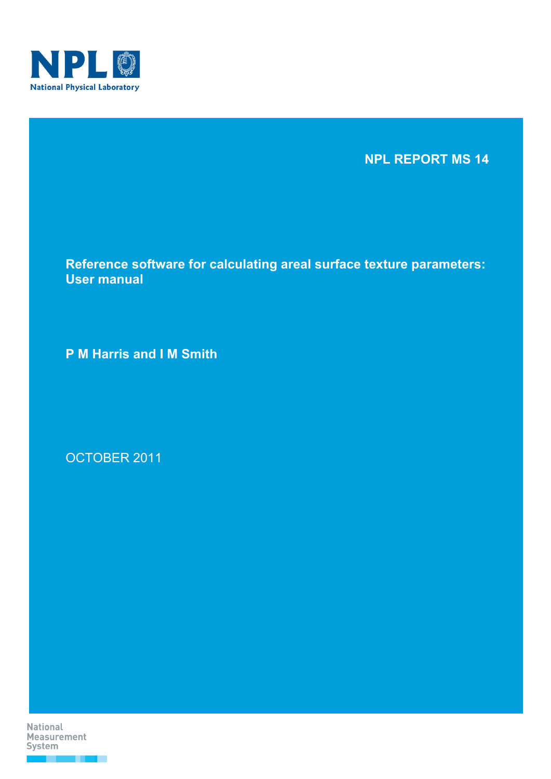

**NPL REPORT MS 14** 

**Reference software for calculating areal surface texture parameters: User manual** 

**P M Harris and I M Smith** 

OCTOBER 2011

**National Measurement** System . . .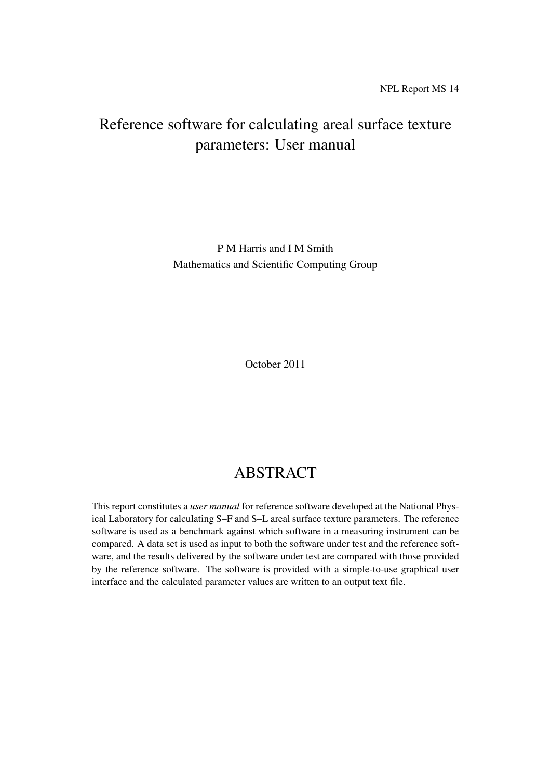# Reference software for calculating areal surface texture parameters: User manual

P M Harris and I M Smith Mathematics and Scientific Computing Group

October 2011

# ABSTRACT

This report constitutes a *user manual* for reference software developed at the National Physical Laboratory for calculating S–F and S–L areal surface texture parameters. The reference software is used as a benchmark against which software in a measuring instrument can be compared. A data set is used as input to both the software under test and the reference software, and the results delivered by the software under test are compared with those provided by the reference software. The software is provided with a simple-to-use graphical user interface and the calculated parameter values are written to an output text file.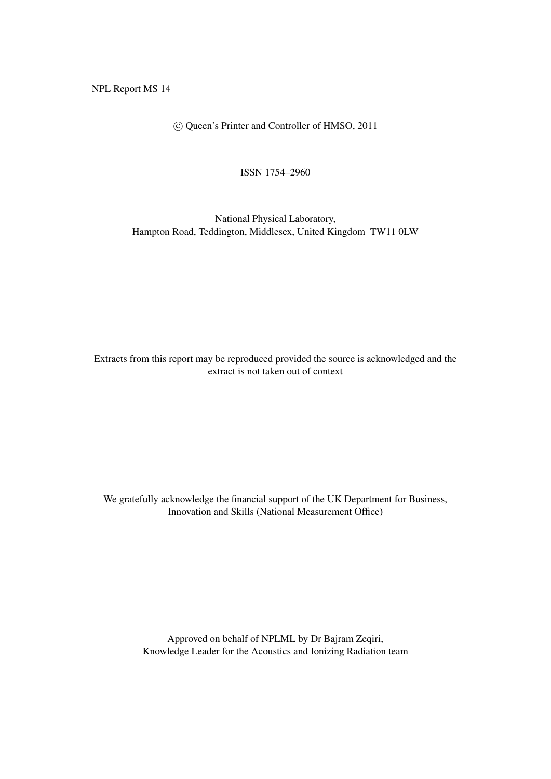NPL Report MS 14

c Queen's Printer and Controller of HMSO, 2011

ISSN 1754–2960

National Physical Laboratory, Hampton Road, Teddington, Middlesex, United Kingdom TW11 0LW

Extracts from this report may be reproduced provided the source is acknowledged and the extract is not taken out of context

We gratefully acknowledge the financial support of the UK Department for Business, Innovation and Skills (National Measurement Office)

> Approved on behalf of NPLML by Dr Bajram Zeqiri, Knowledge Leader for the Acoustics and Ionizing Radiation team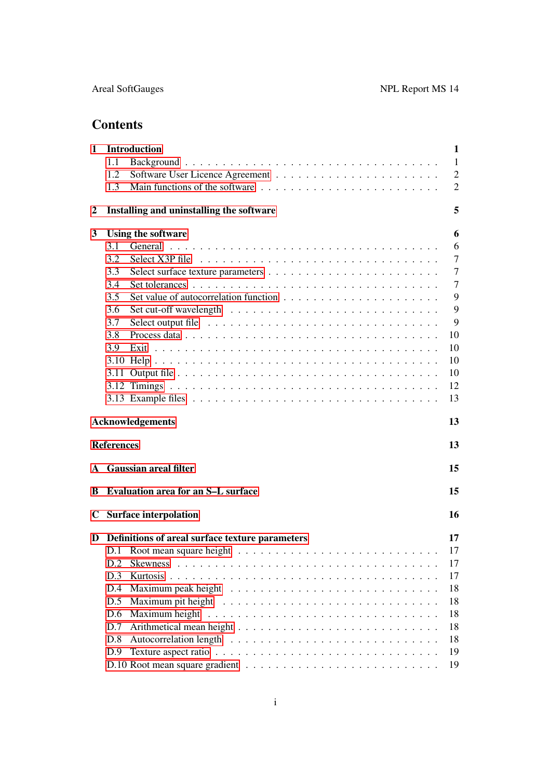# **Contents**

| $\mathbf{1}$                  |                   | Introduction<br>1                               |                |  |  |  |  |  |
|-------------------------------|-------------------|-------------------------------------------------|----------------|--|--|--|--|--|
|                               | 1.1               |                                                 | $\mathbf{1}$   |  |  |  |  |  |
|                               | 1.2               |                                                 | $\overline{2}$ |  |  |  |  |  |
|                               | 1.3               |                                                 | $\overline{2}$ |  |  |  |  |  |
| 2                             |                   | Installing and uninstalling the software        | 5              |  |  |  |  |  |
| 3                             |                   | Using the software                              | 6              |  |  |  |  |  |
|                               | 3.1               |                                                 | 6              |  |  |  |  |  |
|                               | 3.2               |                                                 | $\tau$         |  |  |  |  |  |
|                               | 3.3               |                                                 | $\overline{7}$ |  |  |  |  |  |
|                               | 3.4               |                                                 | $\overline{7}$ |  |  |  |  |  |
|                               | 3.5               |                                                 | 9              |  |  |  |  |  |
|                               | 3.6               |                                                 | 9              |  |  |  |  |  |
|                               | 3.7               |                                                 | 9              |  |  |  |  |  |
|                               | 3.8               |                                                 | 10             |  |  |  |  |  |
|                               | 3.9               |                                                 | 10             |  |  |  |  |  |
|                               |                   |                                                 | 10             |  |  |  |  |  |
|                               |                   |                                                 | 10             |  |  |  |  |  |
|                               |                   |                                                 | 12             |  |  |  |  |  |
|                               |                   |                                                 | 13             |  |  |  |  |  |
| 13<br><b>Acknowledgements</b> |                   |                                                 |                |  |  |  |  |  |
|                               | <b>References</b> |                                                 | 13             |  |  |  |  |  |
|                               |                   | A Gaussian areal filter<br>15                   |                |  |  |  |  |  |
| В                             |                   | 15<br><b>Evaluation area for an S-L surface</b> |                |  |  |  |  |  |
|                               |                   | 16<br>C Surface interpolation                   |                |  |  |  |  |  |
| D                             |                   | Definitions of areal surface texture parameters | 17             |  |  |  |  |  |
|                               | D.1               |                                                 | 17             |  |  |  |  |  |
|                               | D.2               | <b>Skewness</b>                                 | 17             |  |  |  |  |  |
|                               | D.3               |                                                 | 17             |  |  |  |  |  |
|                               | D.4               |                                                 | 18             |  |  |  |  |  |
|                               | D.5               |                                                 | 18             |  |  |  |  |  |
|                               | D.6               |                                                 | 18             |  |  |  |  |  |
|                               | D.7               |                                                 | 18             |  |  |  |  |  |
|                               | D.8               |                                                 | 18             |  |  |  |  |  |
|                               | D.9               |                                                 | 19             |  |  |  |  |  |
|                               |                   |                                                 | 19             |  |  |  |  |  |
|                               |                   |                                                 |                |  |  |  |  |  |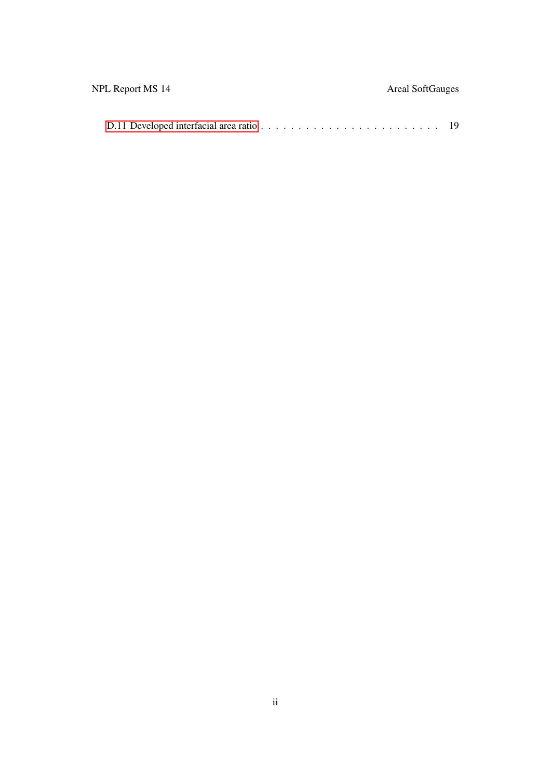| NPL Report MS 14 | <b>Areal SoftGauges</b> |
|------------------|-------------------------|
|                  |                         |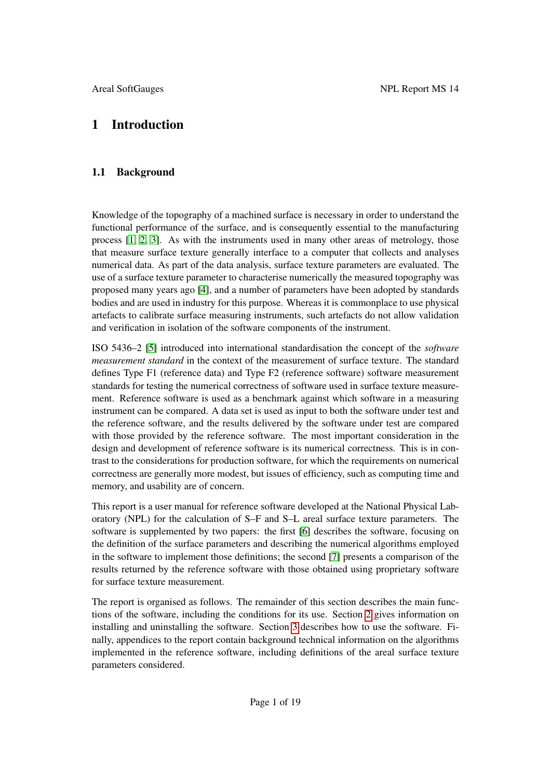# <span id="page-6-0"></span>1 Introduction

## <span id="page-6-1"></span>1.1 Background

Knowledge of the topography of a machined surface is necessary in order to understand the functional performance of the surface, and is consequently essential to the manufacturing process [\[1,](#page-19-0) [2,](#page-19-1) [3\]](#page-19-2). As with the instruments used in many other areas of metrology, those that measure surface texture generally interface to a computer that collects and analyses numerical data. As part of the data analysis, surface texture parameters are evaluated. The use of a surface texture parameter to characterise numerically the measured topography was proposed many years ago [\[4\]](#page-19-3), and a number of parameters have been adopted by standards bodies and are used in industry for this purpose. Whereas it is commonplace to use physical artefacts to calibrate surface measuring instruments, such artefacts do not allow validation and verification in isolation of the software components of the instrument.

ISO 5436–2 [\[5\]](#page-19-4) introduced into international standardisation the concept of the *software measurement standard* in the context of the measurement of surface texture. The standard defines Type F1 (reference data) and Type F2 (reference software) software measurement standards for testing the numerical correctness of software used in surface texture measurement. Reference software is used as a benchmark against which software in a measuring instrument can be compared. A data set is used as input to both the software under test and the reference software, and the results delivered by the software under test are compared with those provided by the reference software. The most important consideration in the design and development of reference software is its numerical correctness. This is in contrast to the considerations for production software, for which the requirements on numerical correctness are generally more modest, but issues of efficiency, such as computing time and memory, and usability are of concern.

This report is a user manual for reference software developed at the National Physical Laboratory (NPL) for the calculation of S–F and S–L areal surface texture parameters. The software is supplemented by two papers: the first [\[6\]](#page-19-5) describes the software, focusing on the definition of the surface parameters and describing the numerical algorithms employed in the software to implement those definitions; the second [\[7\]](#page-19-6) presents a comparison of the results returned by the reference software with those obtained using proprietary software for surface texture measurement.

The report is organised as follows. The remainder of this section describes the main functions of the software, including the conditions for its use. Section [2](#page-10-0) gives information on installing and uninstalling the software. Section [3](#page-11-0) describes how to use the software. Finally, appendices to the report contain background technical information on the algorithms implemented in the reference software, including definitions of the areal surface texture parameters considered.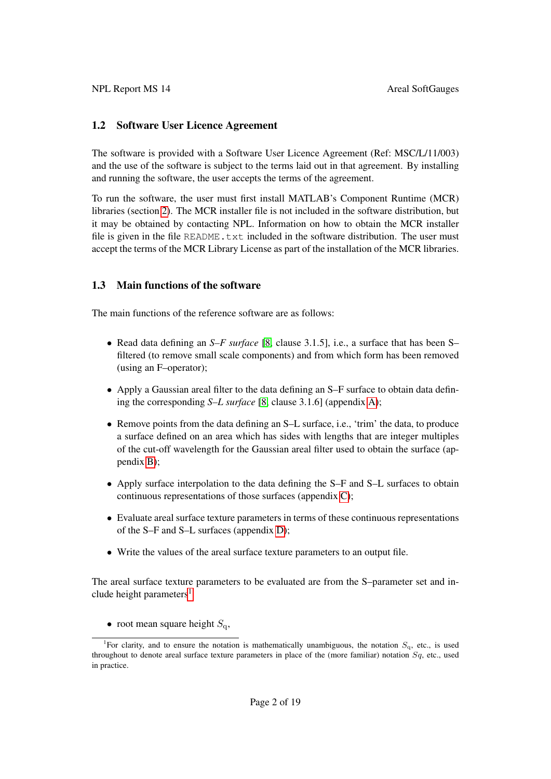### <span id="page-7-0"></span>1.2 Software User Licence Agreement

The software is provided with a Software User Licence Agreement (Ref: MSC/L/11/003) and the use of the software is subject to the terms laid out in that agreement. By installing and running the software, the user accepts the terms of the agreement.

To run the software, the user must first install MATLAB's Component Runtime (MCR) libraries (section [2\)](#page-10-0). The MCR installer file is not included in the software distribution, but it may be obtained by contacting NPL. Information on how to obtain the MCR installer file is given in the file README.txt included in the software distribution. The user must accept the terms of the MCR Library License as part of the installation of the MCR libraries.

### <span id="page-7-1"></span>1.3 Main functions of the software

The main functions of the reference software are as follows:

- Read data defining an *S–F surface* [\[8,](#page-19-7) clause 3.1.5], i.e., a surface that has been S– filtered (to remove small scale components) and from which form has been removed (using an F–operator);
- Apply a Gaussian areal filter to the data defining an S–F surface to obtain data defining the corresponding *S–L surface* [\[8,](#page-19-7) clause 3.1.6] (appendix [A\)](#page-20-0);
- Remove points from the data defining an S–L surface, i.e., 'trim' the data, to produce a surface defined on an area which has sides with lengths that are integer multiples of the cut-off wavelength for the Gaussian areal filter used to obtain the surface (appendix [B\)](#page-20-1);
- Apply surface interpolation to the data defining the S–F and S–L surfaces to obtain continuous representations of those surfaces (appendix [C\)](#page-21-0);
- Evaluate areal surface texture parameters in terms of these continuous representations of the S–F and S–L surfaces (appendix [D\)](#page-22-0);
- Write the values of the areal surface texture parameters to an output file.

The areal surface texture parameters to be evaluated are from the S–parameter set and in-clude height parameters<sup>[1](#page-7-2)</sup>

• root mean square height  $S_{\alpha}$ ,

<span id="page-7-2"></span><sup>&</sup>lt;sup>1</sup>For clarity, and to ensure the notation is mathematically unambiguous, the notation  $S_q$ , etc., is used throughout to denote areal surface texture parameters in place of the (more familiar) notation  $Sq$ , etc., used in practice.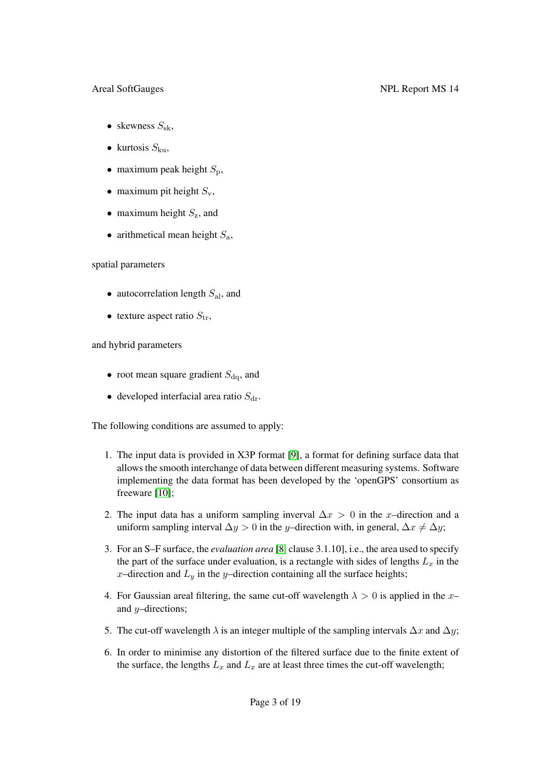- skewness  $S_{\rm sk}$ ,
- kurtosis  $S_{\text{ku}}$ ,
- maximum peak height  $S_p$ ,
- maximum pit height  $S_v$ ,
- maximum height  $S_z$ , and
- arithmetical mean height  $S_a$ ,

### spatial parameters

- autocorrelation length  $S_{al}$ , and
- texture aspect ratio  $S_{tr}$ ,

### and hybrid parameters

- root mean square gradient  $S_{\text{dq}}$ , and
- developed interfacial area ratio  $S_{dr}$ .

The following conditions are assumed to apply:

- 1. The input data is provided in X3P format [\[9\]](#page-19-8), a format for defining surface data that allows the smooth interchange of data between different measuring systems. Software implementing the data format has been developed by the 'openGPS' consortium as freeware [\[10\]](#page-19-9);
- 2. The input data has a uniform sampling inverval  $\Delta x > 0$  in the x–direction and a uniform sampling interval  $\Delta y > 0$  in the y–direction with, in general,  $\Delta x \neq \Delta y$ ;
- 3. For an S–F surface, the *evaluation area* [\[8,](#page-19-7) clause 3.1.10], i.e., the area used to specify the part of the surface under evaluation, is a rectangle with sides of lengths  $L<sub>x</sub>$  in the x-direction and  $L_y$  in the y-direction containing all the surface heights;
- 4. For Gaussian areal filtering, the same cut-off wavelength  $\lambda > 0$  is applied in the x– and y–directions;
- 5. The cut-off wavelength  $\lambda$  is an integer multiple of the sampling intervals  $\Delta x$  and  $\Delta y$ ;
- 6. In order to minimise any distortion of the filtered surface due to the finite extent of the surface, the lengths  $L_x$  and  $L_x$  are at least three times the cut-off wavelength;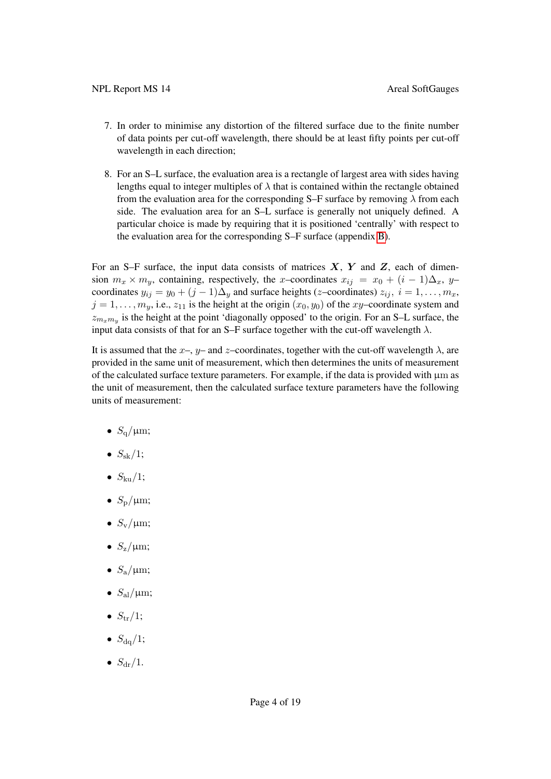- 7. In order to minimise any distortion of the filtered surface due to the finite number of data points per cut-off wavelength, there should be at least fifty points per cut-off wavelength in each direction;
- 8. For an S–L surface, the evaluation area is a rectangle of largest area with sides having lengths equal to integer multiples of  $\lambda$  that is contained within the rectangle obtained from the evaluation area for the corresponding S–F surface by removing  $\lambda$  from each side. The evaluation area for an S–L surface is generally not uniquely defined. A particular choice is made by requiring that it is positioned 'centrally' with respect to the evaluation area for the corresponding S–F surface (appendix [B\)](#page-20-1).

For an S–F surface, the input data consists of matrices  $X$ ,  $Y$  and  $Z$ , each of dimension  $m_x \times m_y$ , containing, respectively, the x–coordinates  $x_{ij} = x_0 + (i - 1)\Delta_x$ , y– coordinates  $y_{ij} = y_0 + (j-1)\Delta_y$  and surface heights (z–coordinates)  $z_{ij}$ ,  $i = 1, ..., m_x$ ,  $j = 1, \ldots, m_y$ , i.e.,  $z_{11}$  is the height at the origin  $(x_0, y_0)$  of the xy–coordinate system and  $z_{m_x m_y}$  is the height at the point 'diagonally opposed' to the origin. For an S–L surface, the input data consists of that for an S–F surface together with the cut-off wavelength  $\lambda$ .

It is assumed that the  $x-$ ,  $y-$  and  $z$ –coordinates, together with the cut-off wavelength  $\lambda$ , are provided in the same unit of measurement, which then determines the units of measurement of the calculated surface texture parameters. For example, if the data is provided with  $\mu$ m as the unit of measurement, then the calculated surface texture parameters have the following units of measurement:

- $S_{\alpha}/\mu m$ ;
- $S_{\rm sk}/1$ ;
- $\bullet$   $S_{\text{ku}}/1$ ;
- $S_{\rm p}/\mu{\rm m}$ ;
- $S_{\rm v}/\mu{\rm m}$ ;
- $S_{\rm z}/\mu{\rm m}$ ;
- $S_a/\mu m$ ;
- $S_{\rm al}/\mu m$ ;
- $S_{\text{tr}}/1$ ;
- $S_{\text{da}}/1$ ;
- $S_{dr}/1$ .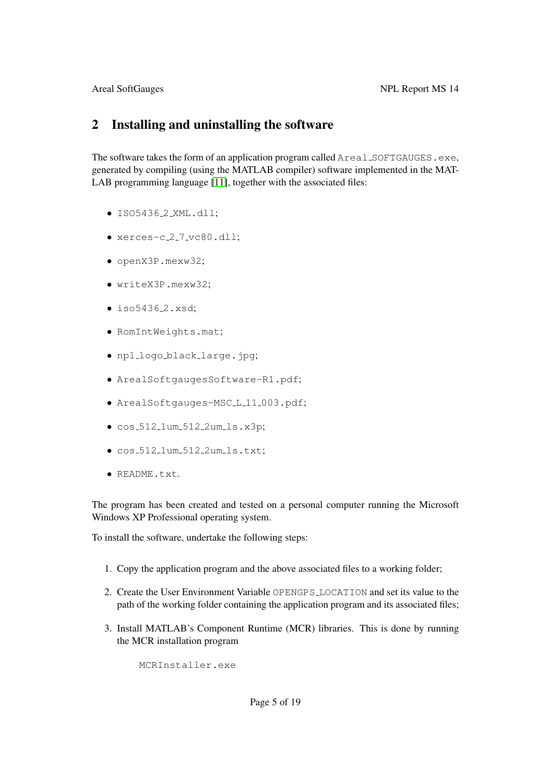# <span id="page-10-0"></span>2 Installing and uninstalling the software

The software takes the form of an application program called Areal\_SOFTGAUGES.exe, generated by compiling (using the MATLAB compiler) software implemented in the MAT-LAB programming language [\[11\]](#page-19-10), together with the associated files:

- ISO5436 2 XML.dll;
- xerces-c<sub>-2-7-vc80.dll</sub>;
- openX3P.mexw32;
- writeX3P.mexw32;
- $\bullet$  iso5436<sub>-2</sub>.xsd;
- RomIntWeights.mat;
- npl logo black large.jpg;
- ArealSoftgaugesSoftware-R1.pdf;
- ArealSoftgauges-MSC<sub>L111003.pdf;</sub>
- $\bullet$  cos\_512\_1um\_512\_2um\_1s.x3p;
- $\bullet$  cos\_512\_1um\_512\_2um\_1s.txt;
- README.txt.

The program has been created and tested on a personal computer running the Microsoft Windows XP Professional operating system.

To install the software, undertake the following steps:

- 1. Copy the application program and the above associated files to a working folder;
- 2. Create the User Environment Variable OPENGPS LOCATION and set its value to the path of the working folder containing the application program and its associated files;
- 3. Install MATLAB's Component Runtime (MCR) libraries. This is done by running the MCR installation program

MCRInstaller.exe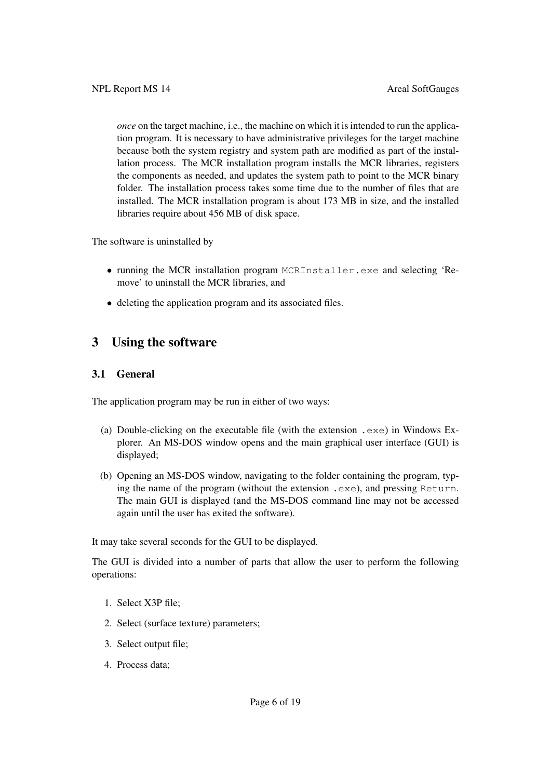*once* on the target machine, i.e., the machine on which it is intended to run the application program. It is necessary to have administrative privileges for the target machine because both the system registry and system path are modified as part of the installation process. The MCR installation program installs the MCR libraries, registers the components as needed, and updates the system path to point to the MCR binary folder. The installation process takes some time due to the number of files that are installed. The MCR installation program is about 173 MB in size, and the installed libraries require about 456 MB of disk space.

The software is uninstalled by

- running the MCR installation program MCRInstaller.exe and selecting 'Remove' to uninstall the MCR libraries, and
- deleting the application program and its associated files.

# <span id="page-11-0"></span>3 Using the software

## <span id="page-11-1"></span>3.1 General

The application program may be run in either of two ways:

- (a) Double-clicking on the executable file (with the extension .  $exe$ ) in Windows Explorer. An MS-DOS window opens and the main graphical user interface (GUI) is displayed;
- (b) Opening an MS-DOS window, navigating to the folder containing the program, typing the name of the program (without the extension .exe), and pressing Return. The main GUI is displayed (and the MS-DOS command line may not be accessed again until the user has exited the software).

It may take several seconds for the GUI to be displayed.

The GUI is divided into a number of parts that allow the user to perform the following operations:

- 1. Select X3P file;
- 2. Select (surface texture) parameters;
- 3. Select output file;
- 4. Process data;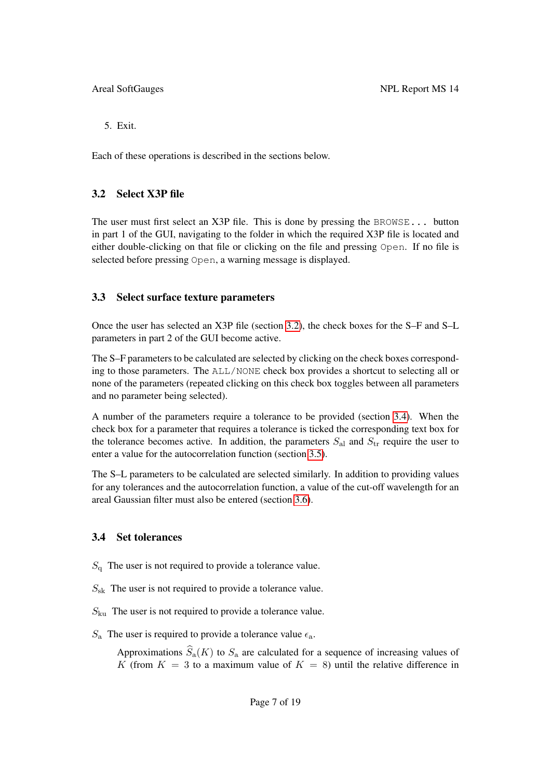5. Exit.

Each of these operations is described in the sections below.

## <span id="page-12-0"></span>3.2 Select X3P file

The user must first select an X3P file. This is done by pressing the BROWSE... button in part 1 of the GUI, navigating to the folder in which the required X3P file is located and either double-clicking on that file or clicking on the file and pressing Open. If no file is selected before pressing Open, a warning message is displayed.

## <span id="page-12-1"></span>3.3 Select surface texture parameters

Once the user has selected an X3P file (section [3.2\)](#page-12-0), the check boxes for the S–F and S–L parameters in part 2 of the GUI become active.

The S–F parameters to be calculated are selected by clicking on the check boxes corresponding to those parameters. The ALL/NONE check box provides a shortcut to selecting all or none of the parameters (repeated clicking on this check box toggles between all parameters and no parameter being selected).

A number of the parameters require a tolerance to be provided (section [3.4\)](#page-12-2). When the check box for a parameter that requires a tolerance is ticked the corresponding text box for the tolerance becomes active. In addition, the parameters  $S_{al}$  and  $S_{tr}$  require the user to enter a value for the autocorrelation function (section [3.5\)](#page-14-0).

The S–L parameters to be calculated are selected similarly. In addition to providing values for any tolerances and the autocorrelation function, a value of the cut-off wavelength for an areal Gaussian filter must also be entered (section [3.6\)](#page-14-1).

### <span id="page-12-2"></span>3.4 Set tolerances

- $S_q$  The user is not required to provide a tolerance value.
- $S_{\rm sk}$  The user is not required to provide a tolerance value.
- $S_{\text{ku}}$  The user is not required to provide a tolerance value.
- $S_a$  The user is required to provide a tolerance value  $\epsilon_a$ .

Approximations  $\widehat{S}_a(K)$  to  $S_a$  are calculated for a sequence of increasing values of K (from  $K = 3$  to a maximum value of  $K = 8$ ) until the relative difference in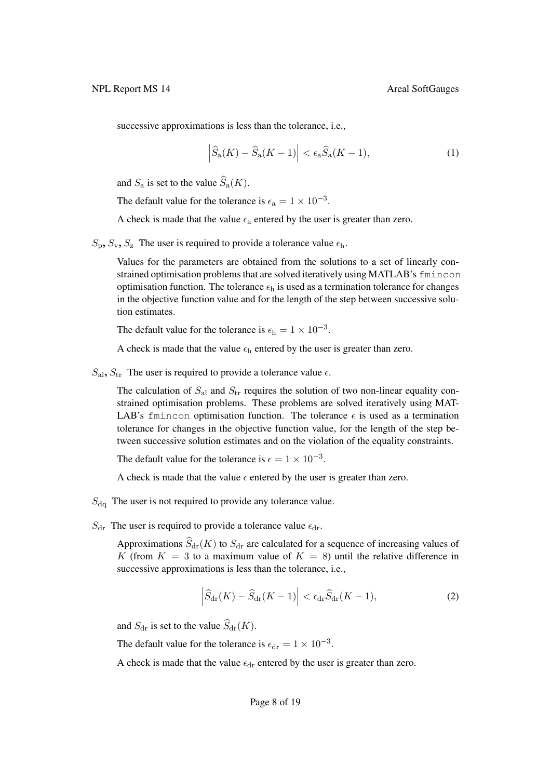successive approximations is less than the tolerance, i.e.,

<span id="page-13-0"></span>
$$
\left|\widehat{S}_a(K) - \widehat{S}_a(K-1)\right| < \epsilon_a \widehat{S}_a(K-1),\tag{1}
$$

and  $S_a$  is set to the value  $\widehat{S}_a(K)$ .

The default value for the tolerance is  $\epsilon_a = 1 \times 10^{-3}$ .

A check is made that the value  $\epsilon_a$  entered by the user is greater than zero.

 $S_p$ ,  $S_v$ ,  $S_z$  The user is required to provide a tolerance value  $\epsilon_h$ .

Values for the parameters are obtained from the solutions to a set of linearly constrained optimisation problems that are solved iteratively using MATLAB's fmincon optimisation function. The tolerance  $\epsilon_h$  is used as a termination tolerance for changes in the objective function value and for the length of the step between successive solution estimates.

The default value for the tolerance is  $\epsilon_h = 1 \times 10^{-3}$ .

A check is made that the value  $\epsilon_h$  entered by the user is greater than zero.

 $S_{\rm al}$ ,  $S_{\rm tr}$  The user is required to provide a tolerance value  $\epsilon$ .

The calculation of  $S_{al}$  and  $S_{tr}$  requires the solution of two non-linear equality constrained optimisation problems. These problems are solved iteratively using MAT-LAB's fmincon optimisation function. The tolerance  $\epsilon$  is used as a termination tolerance for changes in the objective function value, for the length of the step between successive solution estimates and on the violation of the equality constraints.

The default value for the tolerance is  $\epsilon = 1 \times 10^{-3}$ .

A check is made that the value  $\epsilon$  entered by the user is greater than zero.

- $S_{\text{d}q}$  The user is not required to provide any tolerance value.
- $S_{dr}$  The user is required to provide a tolerance value  $\epsilon_{dr}$ .

Approximations  $\widehat{S}_{dr}(K)$  to  $S_{dr}$  are calculated for a sequence of increasing values of K (from  $K = 3$  to a maximum value of  $K = 8$ ) until the relative difference in successive approximations is less than the tolerance, i.e.,

<span id="page-13-1"></span>
$$
\left|\widehat{S}_{\text{dr}}(K) - \widehat{S}_{\text{dr}}(K-1)\right| < \epsilon_{\text{dr}}\widehat{S}_{\text{dr}}(K-1),\tag{2}
$$

and  $S_{\text{dr}}$  is set to the value  $\widehat{S}_{\text{dr}}(K)$ .

The default value for the tolerance is  $\epsilon_{dr} = 1 \times 10^{-3}$ .

A check is made that the value  $\epsilon_{dr}$  entered by the user is greater than zero.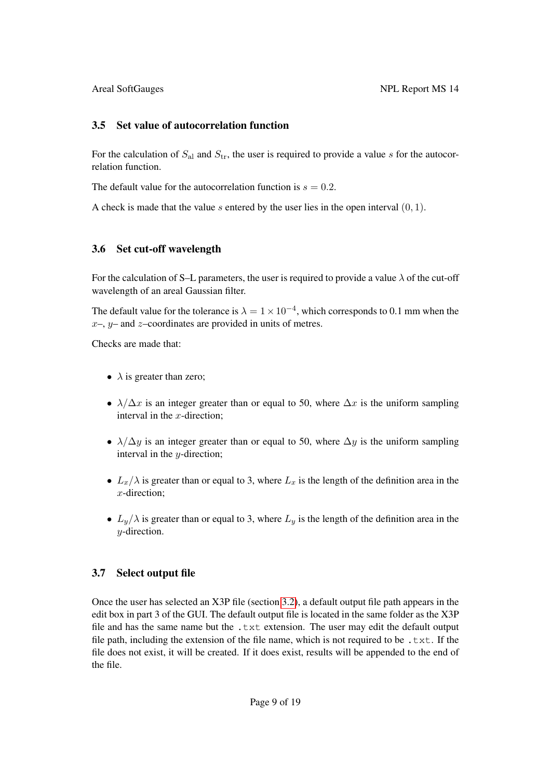## <span id="page-14-0"></span>3.5 Set value of autocorrelation function

For the calculation of  $S_{al}$  and  $S_{tr}$ , the user is required to provide a value s for the autocorrelation function.

The default value for the autocorrelation function is  $s = 0.2$ .

A check is made that the value s entered by the user lies in the open interval  $(0, 1)$ .

## <span id="page-14-1"></span>3.6 Set cut-off wavelength

For the calculation of S–L parameters, the user is required to provide a value  $\lambda$  of the cut-off wavelength of an areal Gaussian filter.

The default value for the tolerance is  $\lambda = 1 \times 10^{-4}$ , which corresponds to 0.1 mm when the  $x-$ ,  $y-$  and  $z$ -coordinates are provided in units of metres.

Checks are made that:

- $\lambda$  is greater than zero;
- $\lambda/\Delta x$  is an integer greater than or equal to 50, where  $\Delta x$  is the uniform sampling interval in the  $x$ -direction:
- $\lambda/\Delta y$  is an integer greater than or equal to 50, where  $\Delta y$  is the uniform sampling interval in the y-direction;
- $L_x/\lambda$  is greater than or equal to 3, where  $L_x$  is the length of the definition area in the x-direction;
- $L_y/\lambda$  is greater than or equal to 3, where  $L_y$  is the length of the definition area in the y-direction.

# <span id="page-14-2"></span>3.7 Select output file

Once the user has selected an X3P file (section [3.2\)](#page-12-0), a default output file path appears in the edit box in part 3 of the GUI. The default output file is located in the same folder as the X3P file and has the same name but the  $.txt$  extension. The user may edit the default output file path, including the extension of the file name, which is not required to be  $. \text{txt}$ . If the file does not exist, it will be created. If it does exist, results will be appended to the end of the file.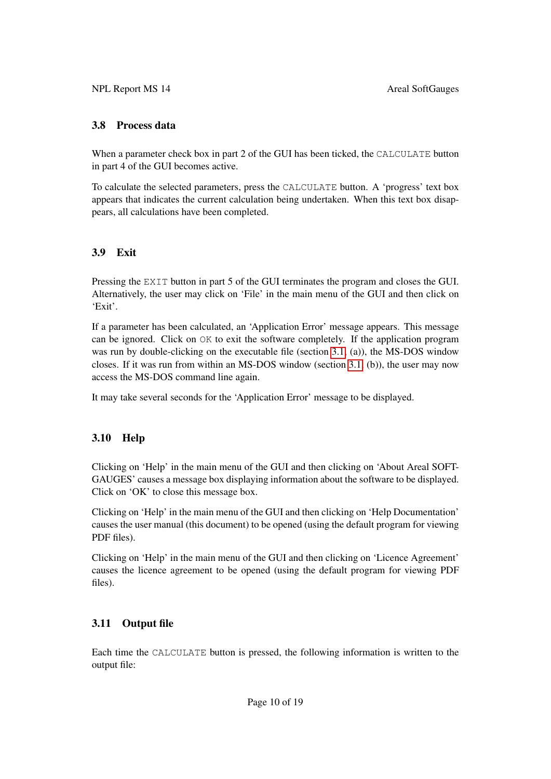## <span id="page-15-0"></span>3.8 Process data

When a parameter check box in part 2 of the GUI has been ticked, the CALCULATE button in part 4 of the GUI becomes active.

To calculate the selected parameters, press the CALCULATE button. A 'progress' text box appears that indicates the current calculation being undertaken. When this text box disappears, all calculations have been completed.

# <span id="page-15-1"></span>3.9 Exit

Pressing the EXIT button in part 5 of the GUI terminates the program and closes the GUI. Alternatively, the user may click on 'File' in the main menu of the GUI and then click on 'Exit'.

If a parameter has been calculated, an 'Application Error' message appears. This message can be ignored. Click on  $\circ$ K to exit the software completely. If the application program was run by double-clicking on the executable file (section [3.1,](#page-11-1) (a)), the MS-DOS window closes. If it was run from within an MS-DOS window (section [3.1,](#page-11-1) (b)), the user may now access the MS-DOS command line again.

It may take several seconds for the 'Application Error' message to be displayed.

# <span id="page-15-2"></span>3.10 Help

Clicking on 'Help' in the main menu of the GUI and then clicking on 'About Areal SOFT-GAUGES' causes a message box displaying information about the software to be displayed. Click on 'OK' to close this message box.

Clicking on 'Help' in the main menu of the GUI and then clicking on 'Help Documentation' causes the user manual (this document) to be opened (using the default program for viewing PDF files).

Clicking on 'Help' in the main menu of the GUI and then clicking on 'Licence Agreement' causes the licence agreement to be opened (using the default program for viewing PDF files).

# <span id="page-15-3"></span>3.11 Output file

Each time the CALCULATE button is pressed, the following information is written to the output file: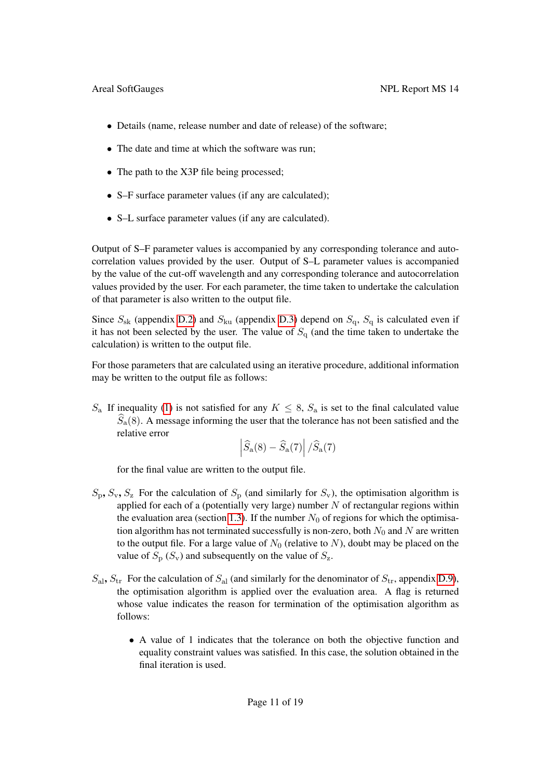- Details (name, release number and date of release) of the software;
- The date and time at which the software was run;
- The path to the X3P file being processed;
- S–F surface parameter values (if any are calculated);
- S–L surface parameter values (if any are calculated).

Output of S–F parameter values is accompanied by any corresponding tolerance and autocorrelation values provided by the user. Output of S–L parameter values is accompanied by the value of the cut-off wavelength and any corresponding tolerance and autocorrelation values provided by the user. For each parameter, the time taken to undertake the calculation of that parameter is also written to the output file.

Since  $S_{\rm sk}$  (appendix [D.2\)](#page-22-2) and  $S_{\rm ku}$  (appendix [D.3\)](#page-22-3) depend on  $S_{\rm q}$ ,  $S_{\rm q}$  is calculated even if it has not been selected by the user. The value of  $S_q$  (and the time taken to undertake the calculation) is written to the output file.

For those parameters that are calculated using an iterative procedure, additional information may be written to the output file as follows:

 $S_a$  If inequality [\(1\)](#page-13-0) is not satisfied for any  $K \leq 8$ ,  $S_a$  is set to the final calculated value  $S_a(8)$ . A message informing the user that the tolerance has not been satisfied and the relative error

$$
\left| \widehat{S}_{\rm a}(8) - \widehat{S}_{\rm a}(7) \right| / \widehat{S}_{\rm a}(7)
$$

for the final value are written to the output file.

- $S_p$ ,  $S_v$ ,  $S_z$  For the calculation of  $S_p$  (and similarly for  $S_v$ ), the optimisation algorithm is applied for each of a (potentially very large) number  $N$  of rectangular regions within the evaluation area (section [1.3\)](#page-7-1). If the number  $N_0$  of regions for which the optimisation algorithm has not terminated successfully is non-zero, both  $N_0$  and N are written to the output file. For a large value of  $N_0$  (relative to N), doubt may be placed on the value of  $S_p$  ( $S_v$ ) and subsequently on the value of  $S_z$ .
- $S_{\rm al}$ ,  $S_{\rm tr}$  For the calculation of  $S_{\rm al}$  (and similarly for the denominator of  $S_{\rm tr}$ , appendix [D.9\)](#page-24-0), the optimisation algorithm is applied over the evaluation area. A flag is returned whose value indicates the reason for termination of the optimisation algorithm as follows:
	- A value of 1 indicates that the tolerance on both the objective function and equality constraint values was satisfied. In this case, the solution obtained in the final iteration is used.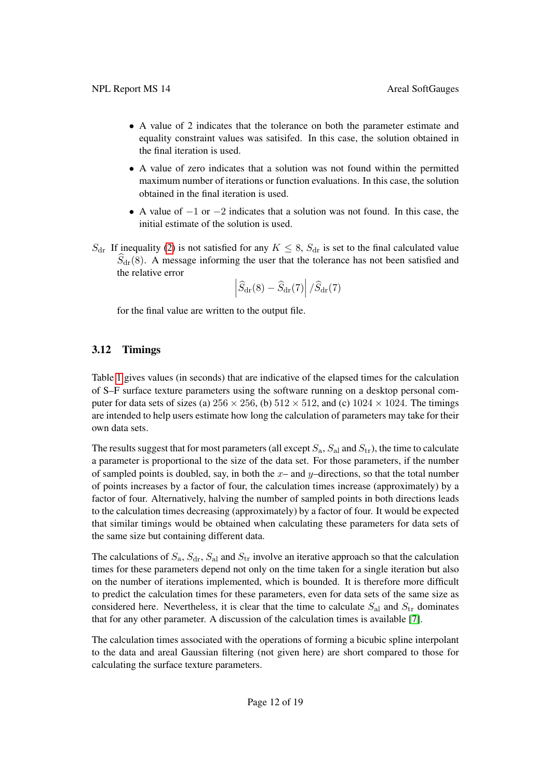- A value of 2 indicates that the tolerance on both the parameter estimate and equality constraint values was satisifed. In this case, the solution obtained in the final iteration is used.
- A value of zero indicates that a solution was not found within the permitted maximum number of iterations or function evaluations. In this case, the solution obtained in the final iteration is used.
- A value of  $-1$  or  $-2$  indicates that a solution was not found. In this case, the initial estimate of the solution is used.
- $S_{\text{dr}}$  If inequality [\(2\)](#page-13-1) is not satisfied for any  $K \leq 8$ ,  $S_{\text{dr}}$  is set to the final calculated value  $S_{dr}(8)$ . A message informing the user that the tolerance has not been satisfied and the relative error

$$
\left| \widehat{S}_{\rm dr} (8) - \widehat{S}_{\rm dr} (7) \right| / \widehat{S}_{\rm dr} (7)
$$

for the final value are written to the output file.

### <span id="page-17-0"></span>3.12 Timings

Table [1](#page-18-3) gives values (in seconds) that are indicative of the elapsed times for the calculation of S–F surface texture parameters using the software running on a desktop personal computer for data sets of sizes (a)  $256 \times 256$ , (b)  $512 \times 512$ , and (c)  $1024 \times 1024$ . The timings are intended to help users estimate how long the calculation of parameters may take for their own data sets.

The results suggest that for most parameters (all except  $S_a$ ,  $S_{al}$  and  $S_{tr}$ ), the time to calculate a parameter is proportional to the size of the data set. For those parameters, if the number of sampled points is doubled, say, in both the  $x-$  and  $y$ –directions, so that the total number of points increases by a factor of four, the calculation times increase (approximately) by a factor of four. Alternatively, halving the number of sampled points in both directions leads to the calculation times decreasing (approximately) by a factor of four. It would be expected that similar timings would be obtained when calculating these parameters for data sets of the same size but containing different data.

The calculations of  $S_a$ ,  $S_{dr}$ ,  $S_{al}$  and  $S_{tr}$  involve an iterative approach so that the calculation times for these parameters depend not only on the time taken for a single iteration but also on the number of iterations implemented, which is bounded. It is therefore more difficult to predict the calculation times for these parameters, even for data sets of the same size as considered here. Nevertheless, it is clear that the time to calculate  $S_{\text{al}}$  and  $S_{\text{tr}}$  dominates that for any other parameter. A discussion of the calculation times is available [\[7\]](#page-19-6).

The calculation times associated with the operations of forming a bicubic spline interpolant to the data and areal Gaussian filtering (not given here) are short compared to those for calculating the surface texture parameters.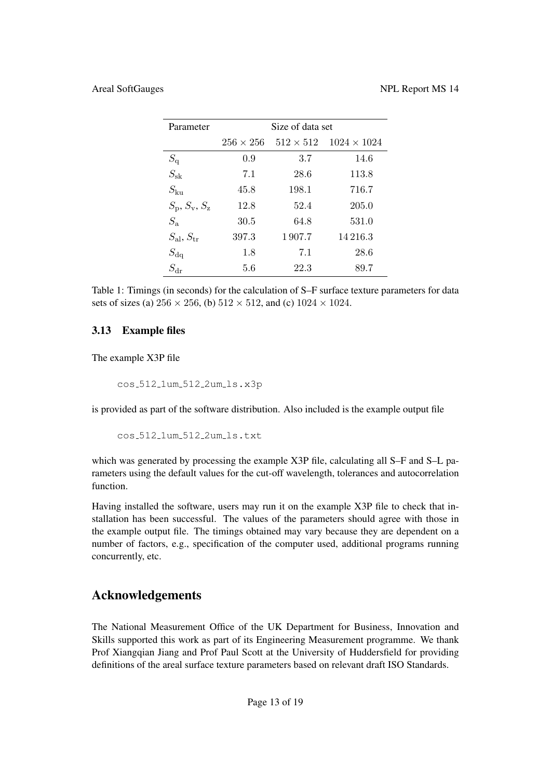| Parameter                               | Size of data set |                  |                    |  |
|-----------------------------------------|------------------|------------------|--------------------|--|
|                                         | $256 \times 256$ | $512 \times 512$ | $1024 \times 1024$ |  |
| $S_{\rm q}$                             | 0.9              | 3.7              | 14.6               |  |
| $S_{\rm sk}$                            | 7.1              | 28.6             | 113.8              |  |
| $S_{\rm ku}$                            | 45.8             | 198.1            | 716.7              |  |
| $S_{\rm p}$ , $S_{\rm v}$ , $S_{\rm z}$ | 12.8             | 52.4             | 205.0              |  |
| $S_{\rm a}$                             | 30.5             | 64.8             | 531.0              |  |
| $S_{\rm al}, S_{\rm tr}$                | 397.3            | 1907.7           | 14216.3            |  |
| $S_{\rm dq}$                            | 1.8              | 7.1              | 28.6               |  |
| $S_{\rm dr}$                            | 5.6              | 22.3             | 89.7               |  |

<span id="page-18-3"></span>Table 1: Timings (in seconds) for the calculation of S–F surface texture parameters for data sets of sizes (a)  $256 \times 256$ , (b)  $512 \times 512$ , and (c)  $1024 \times 1024$ .

## <span id="page-18-0"></span>3.13 Example files

The example X3P file

cos 512 1um 512 2um ls.x3p

is provided as part of the software distribution. Also included is the example output file

cos 512 1um 512 2um ls.txt

which was generated by processing the example X3P file, calculating all S–F and S–L parameters using the default values for the cut-off wavelength, tolerances and autocorrelation function.

Having installed the software, users may run it on the example X3P file to check that installation has been successful. The values of the parameters should agree with those in the example output file. The timings obtained may vary because they are dependent on a number of factors, e.g., specification of the computer used, additional programs running concurrently, etc.

# Acknowledgements

<span id="page-18-2"></span><span id="page-18-1"></span>The National Measurement Office of the UK Department for Business, Innovation and Skills supported this work as part of its Engineering Measurement programme. We thank Prof Xiangqian Jiang and Prof Paul Scott at the University of Huddersfield for providing definitions of the areal surface texture parameters based on relevant draft ISO Standards.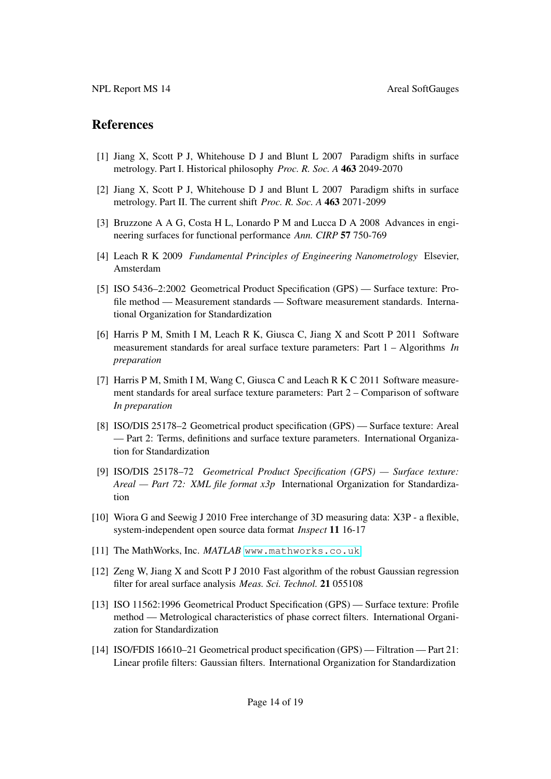### **References**

- <span id="page-19-0"></span>[1] Jiang X, Scott P J, Whitehouse D J and Blunt L 2007 Paradigm shifts in surface metrology. Part I. Historical philosophy *Proc. R. Soc. A* 463 2049-2070
- <span id="page-19-1"></span>[2] Jiang X, Scott P J, Whitehouse D J and Blunt L 2007 Paradigm shifts in surface metrology. Part II. The current shift *Proc. R. Soc. A* 463 2071-2099
- <span id="page-19-2"></span>[3] Bruzzone A A G, Costa H L, Lonardo P M and Lucca D A 2008 Advances in engineering surfaces for functional performance *Ann. CIRP* 57 750-769
- <span id="page-19-3"></span>[4] Leach R K 2009 *Fundamental Principles of Engineering Nanometrology* Elsevier, Amsterdam
- <span id="page-19-4"></span>[5] ISO 5436–2:2002 Geometrical Product Specification (GPS) — Surface texture: Profile method — Measurement standards — Software measurement standards. International Organization for Standardization
- <span id="page-19-5"></span>[6] Harris P M, Smith I M, Leach R K, Giusca C, Jiang X and Scott P 2011 Software measurement standards for areal surface texture parameters: Part 1 – Algorithms *In preparation*
- <span id="page-19-6"></span>[7] Harris P M, Smith I M, Wang C, Giusca C and Leach R K C 2011 Software measurement standards for areal surface texture parameters: Part 2 – Comparison of software *In preparation*
- <span id="page-19-7"></span>[8] ISO/DIS 25178–2 Geometrical product specification (GPS) — Surface texture: Areal — Part 2: Terms, definitions and surface texture parameters. International Organization for Standardization
- <span id="page-19-8"></span>[9] ISO/DIS 25178–72 *Geometrical Product Specification (GPS) — Surface texture: Areal — Part 72: XML file format x3p* International Organization for Standardization
- <span id="page-19-9"></span>[10] Wiora G and Seewig J 2010 Free interchange of 3D measuring data: X3P - a flexible, system-independent open source data format *Inspect* 11 16-17
- <span id="page-19-10"></span>[11] The MathWorks, Inc. MATLAB <www.mathworks.co.uk>
- <span id="page-19-11"></span>[12] Zeng W, Jiang X and Scott P J 2010 Fast algorithm of the robust Gaussian regression filter for areal surface analysis *Meas. Sci. Technol.* 21 055108
- <span id="page-19-12"></span>[13] ISO 11562:1996 Geometrical Product Specification (GPS) — Surface texture: Profile method — Metrological characteristics of phase correct filters. International Organization for Standardization
- <span id="page-19-13"></span>[14] ISO/FDIS 16610–21 Geometrical product specification (GPS) — Filtration — Part 21: Linear profile filters: Gaussian filters. International Organization for Standardization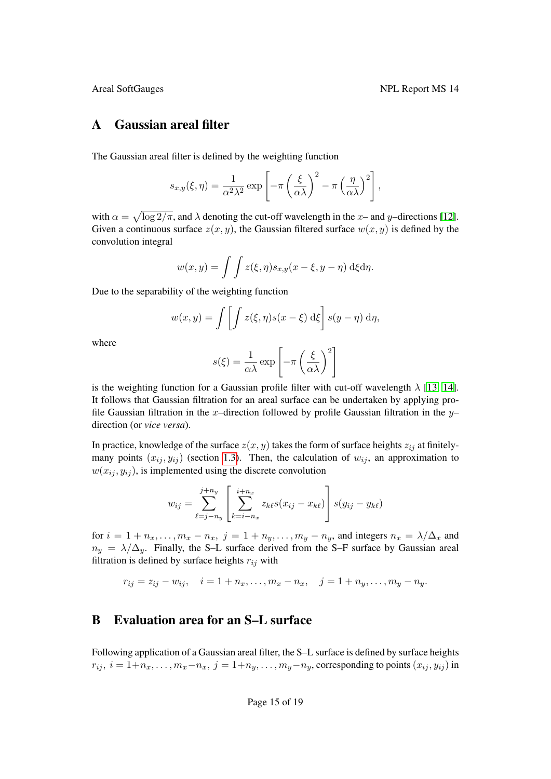### <span id="page-20-0"></span>A Gaussian areal filter

The Gaussian areal filter is defined by the weighting function

$$
s_{x,y}(\xi,\eta) = \frac{1}{\alpha^2 \lambda^2} \exp \left[ -\pi \left( \frac{\xi}{\alpha \lambda} \right)^2 - \pi \left( \frac{\eta}{\alpha \lambda} \right)^2 \right],
$$

with  $\alpha = \sqrt{\log 2/\pi}$ , and  $\lambda$  denoting the cut-off wavelength in the x– and y–directions [\[12\]](#page-19-11). Given a continuous surface  $z(x, y)$ , the Gaussian filtered surface  $w(x, y)$  is defined by the convolution integral

$$
w(x,y) = \int \int z(\xi,\eta) s_{x,y}(x-\xi,y-\eta) \,d\xi d\eta.
$$

Due to the separability of the weighting function

$$
w(x,y) = \int \left[ \int z(\xi,\eta)s(x-\xi) \,d\xi \right] s(y-\eta) \,d\eta,
$$

where

$$
s(\xi) = \frac{1}{\alpha \lambda} \exp \left[ -\pi \left( \frac{\xi}{\alpha \lambda} \right)^2 \right]
$$

is the weighting function for a Gaussian profile filter with cut-off wavelength  $\lambda$  [\[13,](#page-19-12) [14\]](#page-19-13). It follows that Gaussian filtration for an areal surface can be undertaken by applying profile Gaussian filtration in the x-direction followed by profile Gaussian filtration in the  $y$ direction (or *vice versa*).

In practice, knowledge of the surface  $z(x, y)$  takes the form of surface heights  $z_{ij}$  at finitelymany points  $(x_{ij}, y_{ij})$  (section [1.3\)](#page-7-1). Then, the calculation of  $w_{ij}$ , an approximation to  $w(x_{ij}, y_{ij})$ , is implemented using the discrete convolution

$$
w_{ij} = \sum_{\ell=j-n_y}^{j+n_y} \left[ \sum_{k=i-n_x}^{i+n_x} z_{k\ell} s(x_{ij} - x_{k\ell}) \right] s(y_{ij} - y_{k\ell})
$$

for  $i = 1 + n_x, \ldots, m_x - n_x, j = 1 + n_y, \ldots, m_y - n_y$ , and integers  $n_x = \lambda/\Delta_x$  and  $n_y = \lambda/\Delta_y$ . Finally, the S–L surface derived from the S–F surface by Gaussian areal filtration is defined by surface heights  $r_{ij}$  with

 $r_{ij} = z_{ij} - w_{ij}, \quad i = 1 + n_x, \dots, m_x - n_x, \quad j = 1 + n_y, \dots, m_y - n_y.$ 

### <span id="page-20-1"></span>B Evaluation area for an S–L surface

Following application of a Gaussian areal filter, the S–L surface is defined by surface heights  $r_{ij}$ ,  $i = 1+n_x, \ldots, m_x-n_x$ ,  $j = 1+n_y, \ldots, m_y-n_y$ , corresponding to points  $(x_{ij}, y_{ij})$  in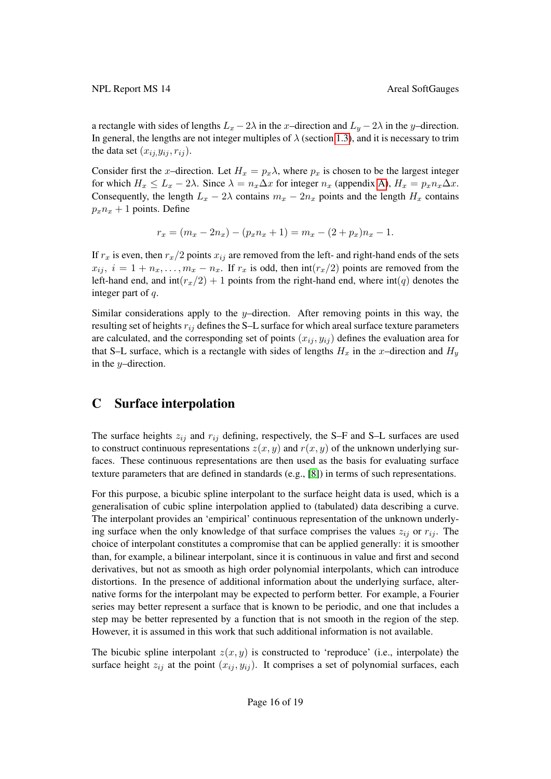a rectangle with sides of lengths  $L_x - 2\lambda$  in the x–direction and  $L_y - 2\lambda$  in the y–direction. In general, the lengths are not integer multiples of  $\lambda$  (section [1.3\)](#page-7-1), and it is necessary to trim the data set  $(x_{ij}, y_{ij}, r_{ij})$ .

Consider first the x-direction. Let  $H_x = p_x \lambda$ , where  $p_x$  is chosen to be the largest integer for which  $H_x \leq L_x - 2\lambda$ . Since  $\lambda = n_x \Delta x$  for integer  $n_x$  (appendix [A\)](#page-20-0),  $H_x = p_x n_x \Delta x$ . Consequently, the length  $L_x - 2\lambda$  contains  $m_x - 2n_x$  points and the length  $H_x$  contains  $p_x n_x + 1$  points. Define

$$
r_x = (m_x - 2n_x) - (p_x n_x + 1) = m_x - (2 + p_x)n_x - 1.
$$

If  $r_x$  is even, then  $r_x/2$  points  $x_{ij}$  are removed from the left- and right-hand ends of the sets  $x_{ij}$ ,  $i = 1 + n_x, \ldots, m_x - n_x$ . If  $r_x$  is odd, then  $int(r_x/2)$  points are removed from the left-hand end, and  $int(r_x/2) + 1$  points from the right-hand end, where  $int(q)$  denotes the integer part of q.

Similar considerations apply to the  $y$ –direction. After removing points in this way, the resulting set of heights  $r_{ij}$  defines the S–L surface for which areal surface texture parameters are calculated, and the corresponding set of points  $(x_{ij}, y_{ij})$  defines the evaluation area for that S–L surface, which is a rectangle with sides of lengths  $H_x$  in the x–direction and  $H_y$ in the y–direction.

## <span id="page-21-0"></span>C Surface interpolation

The surface heights  $z_{ij}$  and  $r_{ij}$  defining, respectively, the S–F and S–L surfaces are used to construct continuous representations  $z(x, y)$  and  $r(x, y)$  of the unknown underlying surfaces. These continuous representations are then used as the basis for evaluating surface texture parameters that are defined in standards (e.g., [\[8\]](#page-19-7)) in terms of such representations.

For this purpose, a bicubic spline interpolant to the surface height data is used, which is a generalisation of cubic spline interpolation applied to (tabulated) data describing a curve. The interpolant provides an 'empirical' continuous representation of the unknown underlying surface when the only knowledge of that surface comprises the values  $z_{ij}$  or  $r_{ij}$ . The choice of interpolant constitutes a compromise that can be applied generally: it is smoother than, for example, a bilinear interpolant, since it is continuous in value and first and second derivatives, but not as smooth as high order polynomial interpolants, which can introduce distortions. In the presence of additional information about the underlying surface, alternative forms for the interpolant may be expected to perform better. For example, a Fourier series may better represent a surface that is known to be periodic, and one that includes a step may be better represented by a function that is not smooth in the region of the step. However, it is assumed in this work that such additional information is not available.

The bicubic spline interpolant  $z(x, y)$  is constructed to 'reproduce' (i.e., interpolate) the surface height  $z_{ij}$  at the point  $(x_{ij}, y_{ij})$ . It comprises a set of polynomial surfaces, each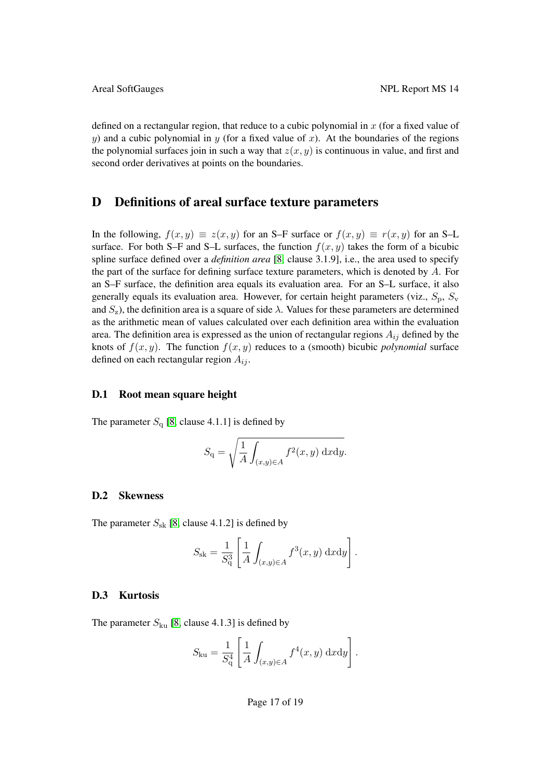defined on a rectangular region, that reduce to a cubic polynomial in  $x$  (for a fixed value of y) and a cubic polynomial in y (for a fixed value of x). At the boundaries of the regions the polynomial surfaces join in such a way that  $z(x, y)$  is continuous in value, and first and second order derivatives at points on the boundaries.

### <span id="page-22-0"></span>D Definitions of areal surface texture parameters

In the following,  $f(x, y) \equiv z(x, y)$  for an S–F surface or  $f(x, y) \equiv r(x, y)$  for an S–L surface. For both S–F and S–L surfaces, the function  $f(x, y)$  takes the form of a bicubic spline surface defined over a *definition area* [\[8,](#page-19-7) clause 3.1.9], i.e., the area used to specify the part of the surface for defining surface texture parameters, which is denoted by  $A$ . For an S–F surface, the definition area equals its evaluation area. For an S–L surface, it also generally equals its evaluation area. However, for certain height parameters (viz.,  $S_p$ ,  $S_v$ and  $S_z$ ), the definition area is a square of side  $\lambda$ . Values for these parameters are determined as the arithmetic mean of values calculated over each definition area within the evaluation area. The definition area is expressed as the union of rectangular regions  $A_{ij}$  defined by the knots of  $f(x, y)$ . The function  $f(x, y)$  reduces to a (smooth) bicubic *polynomial* surface defined on each rectangular region  $A_{ij}$ .

### <span id="page-22-1"></span>D.1 Root mean square height

The parameter  $S_{q}$  [\[8,](#page-19-7) clause 4.1.1] is defined by

$$
S_{\mathbf{q}} = \sqrt{\frac{1}{A} \int_{(x,y)\in A} f^2(x,y) \, \mathrm{d}x \mathrm{d}y}.
$$

### <span id="page-22-2"></span>D.2 Skewness

The parameter  $S_{\rm sk}$  [\[8,](#page-19-7) clause 4.1.2] is defined by

$$
S_{\rm sk} = \frac{1}{S_{\rm q}^3} \left[ \frac{1}{A} \int_{(x,y)\in A} f^3(x,y) \, \mathrm{d}x \mathrm{d}y \right].
$$

### <span id="page-22-3"></span>D.3 Kurtosis

The parameter  $S_{\text{ku}}$  [\[8,](#page-19-7) clause 4.1.3] is defined by

$$
S_{\text{ku}} = \frac{1}{S_q^4} \left[ \frac{1}{A} \int_{(x,y)\in A} f^4(x,y) \, \mathrm{d}x \mathrm{d}y \right].
$$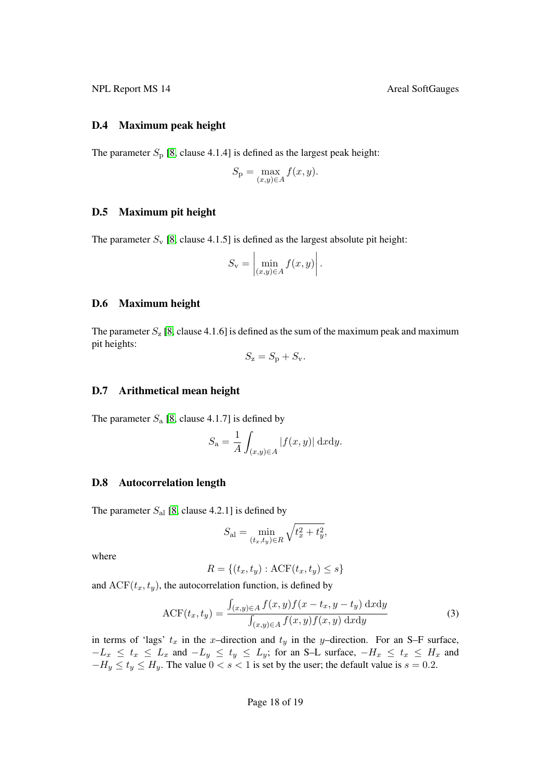### <span id="page-23-0"></span>D.4 Maximum peak height

The parameter  $S_p$  [\[8,](#page-19-7) clause 4.1.4] is defined as the largest peak height:

$$
S_{\mathbf{p}} = \max_{(x,y)\in A} f(x,y).
$$

### <span id="page-23-1"></span>D.5 Maximum pit height

The parameter  $S_v$  [\[8,](#page-19-7) clause 4.1.5] is defined as the largest absolute pit height:

$$
S_{\mathbf{v}} = \left| \min_{(x,y)\in A} f(x,y) \right|.
$$

### <span id="page-23-2"></span>D.6 Maximum height

The parameter  $S_z$  [\[8,](#page-19-7) clause 4.1.6] is defined as the sum of the maximum peak and maximum pit heights:

$$
S_{\mathbf{z}} = S_{\mathbf{p}} + S_{\mathbf{v}}.
$$

### <span id="page-23-3"></span>D.7 Arithmetical mean height

The parameter  $S_a$  [\[8,](#page-19-7) clause 4.1.7] is defined by

$$
S_{\mathbf{a}} = \frac{1}{A} \int_{(x,y)\in A} |f(x,y)| \, \mathrm{d}x \mathrm{d}y.
$$

### <span id="page-23-4"></span>D.8 Autocorrelation length

The parameter  $S_{al}$  [\[8,](#page-19-7) clause 4.2.1] is defined by

$$
S_{\rm al} = \min_{(t_x, t_y) \in R} \sqrt{t_x^2 + t_y^2},
$$

where

$$
R = \{(t_x, t_y) : \text{ACF}(t_x, t_y) \le s\}
$$

and  $ACF(t_x, t_y)$ , the autocorrelation function, is defined by

<span id="page-23-5"></span>
$$
\text{ACF}(t_x, t_y) = \frac{\int_{(x,y)\in A} f(x,y)f(x - t_x, y - t_y) \, \text{d}x \, \text{d}y}{\int_{(x,y)\in A} f(x,y)f(x,y) \, \text{d}x \, \text{d}y} \tag{3}
$$

in terms of 'lags'  $t_x$  in the x-direction and  $t_y$  in the y-direction. For an S-F surface,  $-L_x \leq t_x \leq L_x$  and  $-L_y \leq t_y \leq L_y$ ; for an S–L surface,  $-H_x \leq t_x \leq H_x$  and  $-H_y \le t_y \le H_y$ . The value  $0 < s < 1$  is set by the user; the default value is  $s = 0.2$ .